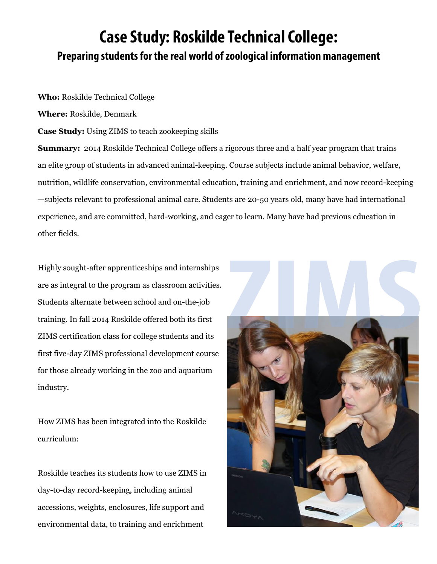## **Case Study: Roskilde Technical College: Preparing students for the real world of zoological information management**

**Who:** Roskilde Technical College

**Where:** Roskilde, Denmark

**Case Study:** Using ZIMS to teach zookeeping skills

**Summary:** 2014 Roskilde Technical College offers a rigorous three and a half year program that trains an elite group of students in advanced animal-keeping. Course subjects include animal behavior, welfare, nutrition, wildlife conservation, environmental education, training and enrichment, and now record-keeping —subjects relevant to professional animal care. Students are 20-50 years old, many have had international experience, and are committed, hard-working, and eager to learn. Many have had previous education in other fields.

Highly sought-after apprenticeships and internships are as integral to the program as classroom activities. Students alternate between school and on-the-job training. In fall 2014 Roskilde offered both its first ZIMS certification class for college students and its first five-day ZIMS professional development course for those already working in the zoo and aquarium industry.

How ZIMS has been integrated into the Roskilde curriculum:

Roskilde teaches its students how to use ZIMS in day-to-day record-keeping, including animal accessions, weights, enclosures, life support and environmental data, to training and enrichment